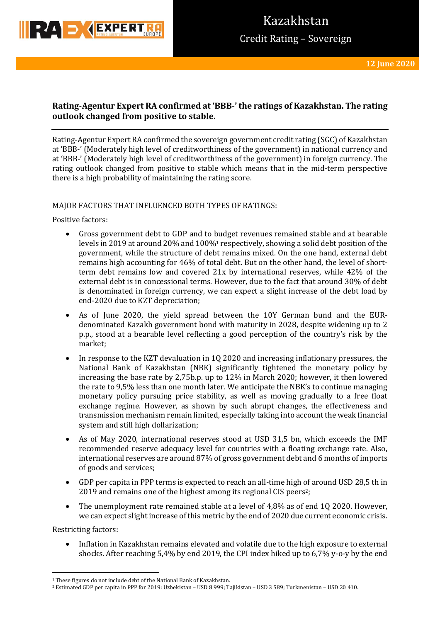

## **Rating-Agentur Expert RA confirmed at 'BBB-' the ratings of Kazakhstan. The rating outlook changed from positive to stable.**

Rating-Agentur Expert RA confirmed the sovereign government credit rating (SGC) of Kazakhstan at 'BBB-' (Moderately high level of creditworthiness of the government) in national currency and at 'BBB-' (Moderately high level of creditworthiness of the government) in foreign currency. The rating outlook changed from positive to stable which means that in the mid-term perspective there is a high probability of maintaining the rating score.

### MAJOR FACTORS THAT INFLUENCED BOTH TYPES OF RATINGS:

Positive factors:

- Gross government debt to GDP and to budget revenues remained stable and at bearable levels in 2019 at around 20% and 100%<sup>1</sup> respectively, showing a solid debt position of the government, while the structure of debt remains mixed. On the one hand, external debt remains high accounting for 46% of total debt. But on the other hand, the level of shortterm debt remains low and covered 21x by international reserves, while 42% of the external debt is in concessional terms. However, due to the fact that around 30% of debt is denominated in foreign currency, we can expect a slight increase of the debt load by end-2020 due to KZT depreciation;
- As of June 2020, the yield spread between the 10Y German bund and the EURdenominated Kazakh government bond with maturity in 2028, despite widening up to 2 p.p., stood at a bearable level reflecting a good perception of the country's risk by the market;
- In response to the KZT devaluation in 1Q 2020 and increasing inflationary pressures, the National Bank of Kazakhstan (NBK) significantly tightened the monetary policy by increasing the base rate by 2,75b.p. up to 12% in March 2020; however, it then lowered the rate to 9,5% less than one month later. We anticipate the NBK's to continue managing monetary policy pursuing price stability, as well as moving gradually to a free float exchange regime. However, as shown by such abrupt changes, the effectiveness and transmission mechanism remain limited, especially taking into account the weak financial system and still high dollarization;
- As of May 2020, international reserves stood at USD 31,5 bn, which exceeds the IMF recommended reserve adequacy level for countries with a floating exchange rate. Also, international reserves are around 87% of gross government debt and 6 months of imports of goods and services;
- GDP per capita in PPP terms is expected to reach an all-time high of around USD 28,5 th in 2019 and remains one of the highest among its regional CIS peers<sup>2</sup>;
- The unemployment rate remained stable at a level of 4,8% as of end 1Q 2020. However, we can expect slight increase of this metric by the end of 2020 due current economic crisis.

Restricting factors:

**.** 

 Inflation in Kazakhstan remains elevated and volatile due to the high exposure to external shocks. After reaching 5,4% by end 2019, the CPI index hiked up to 6,7% y-o-y by the end

<sup>1</sup> These figures do not include debt of the National Bank of Kazakhstan.

<sup>2</sup> Estimated GDP per capita in PPP for 2019: Uzbekistan – USD 8 999; Tajikistan – USD 3 589; Turkmenistan – USD 20 410.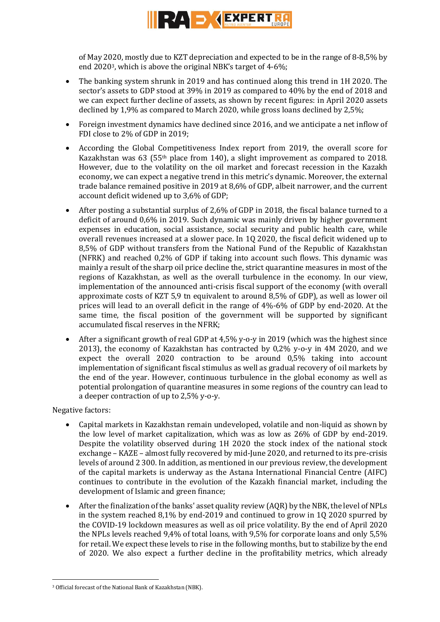

of May 2020, mostly due to KZT depreciation and expected to be in the range of 8-8,5% by end 20203, which is above the original NBK's target of 4-6%;

- The banking system shrunk in 2019 and has continued along this trend in 1H 2020. The sector's assets to GDP stood at 39% in 2019 as compared to 40% by the end of 2018 and we can expect further decline of assets, as shown by recent figures: in April 2020 assets declined by 1,9% as compared to March 2020, while gross loans declined by 2,5%;
- Foreign investment dynamics have declined since 2016, and we anticipate a net inflow of FDI close to 2% of GDP in 2019;
- According the Global Competitiveness Index report from 2019, the overall score for Kazakhstan was 63 (55th place from 140), a slight improvement as compared to 2018. However, due to the volatility on the oil market and forecast recession in the Kazakh economy, we can expect a negative trend in this metric's dynamic. Moreover, the external trade balance remained positive in 2019 at 8,6% of GDP, albeit narrower, and the current account deficit widened up to 3,6% of GDP;
- After posting a substantial surplus of 2,6% of GDP in 2018, the fiscal balance turned to a deficit of around 0,6% in 2019. Such dynamic was mainly driven by higher government expenses in education, social assistance, social security and public health care, while overall revenues increased at a slower pace. In 1Q 2020, the fiscal deficit widened up to 8,5% of GDP without transfers from the National Fund of the Republic of Kazakhstan (NFRK) and reached 0,2% of GDP if taking into account such flows. This dynamic was mainly a result of the sharp oil price decline the, strict quarantine measures in most of the regions of Kazakhstan, as well as the overall turbulence in the economy. In our view, implementation of the announced anti-crisis fiscal support of the economy (with overall approximate costs of KZT 5,9 tn equivalent to around 8,5% of GDP), as well as lower oil prices will lead to an overall deficit in the range of 4%-6% of GDP by end-2020. At the same time, the fiscal position of the government will be supported by significant accumulated fiscal reserves in the NFRK;
- After a significant growth of real GDP at 4,5% y-o-y in 2019 (which was the highest since 2013), the economy of Kazakhstan has contracted by 0,2% y-o-y in 4M 2020, and we expect the overall 2020 contraction to be around 0,5% taking into account implementation of significant fiscal stimulus as well as gradual recovery of oil markets by the end of the year. However, continuous turbulence in the global economy as well as potential prolongation of quarantine measures in some regions of the country can lead to a deeper contraction of up to 2,5% y-o-y.

Negative factors:

**.** 

- Capital markets in Kazakhstan remain undeveloped, volatile and non-liquid as shown by the low level of market capitalization, which was as low as 26% of GDP by end-2019. Despite the volatility observed during 1H 2020 the stock index of the national stock exchange – KAZE – almost fully recovered by mid-June 2020, and returned to its pre-crisis levels of around 2 300. In addition, as mentioned in our previous review, the development of the capital markets is underway as the Astana International Financial Centre (AIFC) continues to contribute in the evolution of the Kazakh financial market, including the development of Islamic and green finance;
- After the finalization of the banks' asset quality review (AQR) by the NBK, the level of NPLs in the system reached 8,1% by end-2019 and continued to grow in 1Q 2020 spurred by the COVID-19 lockdown measures as well as oil price volatility. By the end of April 2020 the NPLs levels reached 9,4% of total loans, with 9,5% for corporate loans and only 5,5% for retail. We expect these levels to rise in the following months, but to stabilize by the end of 2020. We also expect a further decline in the profitability metrics, which already

<sup>3</sup> Official forecast of the National Bank of Kazakhstan (NBK).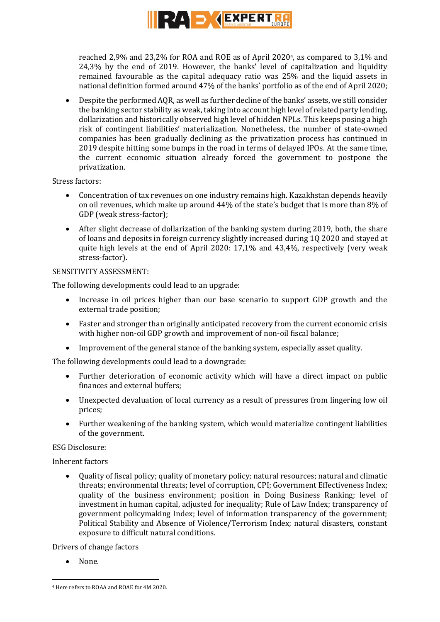

reached 2,9% and 23,2% for ROA and ROE as of April 20204, as compared to 3,1% and 24,3% by the end of 2019. However, the banks' level of capitalization and liquidity remained favourable as the capital adequacy ratio was 25% and the liquid assets in national definition formed around 47% of the banks' portfolio as of the end of April 2020;

 Despite the performed AQR, as well as further decline of the banks' assets, we still consider the banking sector stability as weak, taking into account high level of related party lending, dollarization and historically observed high level of hidden NPLs. This keeps posing a high risk of contingent liabilities' materialization. Nonetheless, the number of state-owned companies has been gradually declining as the privatization process has continued in 2019 despite hitting some bumps in the road in terms of delayed IPOs. At the same time, the current economic situation already forced the government to postpone the privatization.

Stress factors:

- Concentration of tax revenues on one industry remains high. Kazakhstan depends heavily on oil revenues, which make up around 44% of the state's budget that is more than 8% of GDP (weak stress-factor);
- After slight decrease of dollarization of the banking system during 2019, both, the share of loans and deposits in foreign currency slightly increased during 1Q 2020 and stayed at quite high levels at the end of April 2020: 17,1% and 43,4%, respectively (very weak stress-factor).

## SENSITIVITY ASSESSMENT:

The following developments could lead to an upgrade:

- Increase in oil prices higher than our base scenario to support GDP growth and the external trade position;
- Faster and stronger than originally anticipated recovery from the current economic crisis with higher non-oil GDP growth and improvement of non-oil fiscal balance;
- Improvement of the general stance of the banking system, especially asset quality.

The following developments could lead to a downgrade:

- Further deterioration of economic activity which will have a direct impact on public finances and external buffers;
- Unexpected devaluation of local currency as a result of pressures from lingering low oil prices;
- Further weakening of the banking system, which would materialize contingent liabilities of the government.

### ESG Disclosure:

Inherent factors

 Quality of fiscal policy; quality of monetary policy; natural resources; natural and climatic threats; environmental threats; level of corruption, CPI; Government Effectiveness Index; quality of the business environment; position in Doing Business Ranking; level of investment in human capital, adjusted for inequality; Rule of Law Index; transparency of government policymaking Index; level of information transparency of the government; Political Stability and Absence of Violence/Terrorism Index; natural disasters, constant exposure to difficult natural conditions.

Drivers of change factors

None.

**.** 

<sup>4</sup> Here refers to ROAA and ROAE for 4M 2020.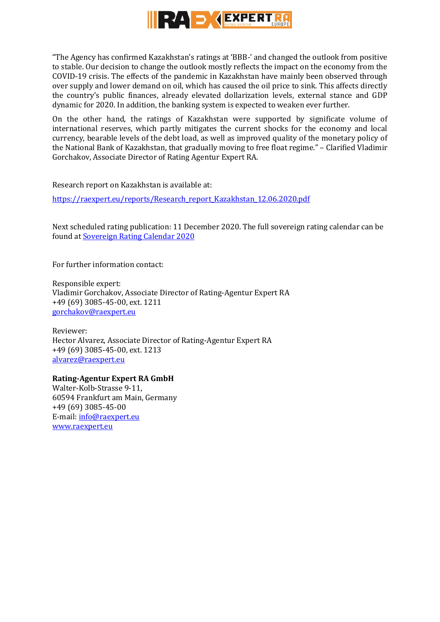

"The Agency has confirmed Kazakhstan's ratings at 'BBB-' and changed the outlook from positive to stable. Our decision to change the outlook mostly reflects the impact on the economy from the COVID-19 crisis. The effects of the pandemic in Kazakhstan have mainly been observed through over supply and lower demand on oil, which has caused the oil price to sink. This affects directly the country's public finances, already elevated dollarization levels, external stance and GDP dynamic for 2020. In addition, the banking system is expected to weaken ever further.

On the other hand, the ratings of Kazakhstan were supported by significate volume of international reserves, which partly mitigates the current shocks for the economy and local currency, bearable levels of the debt load, as well as improved quality of the monetary policy of the National Bank of Kazakhstan, that gradually moving to free float regime." – Clarified Vladimir Gorchakov, Associate Director of Rating Agentur Expert RA.

Research report on Kazakhstan is available at:

[https://raexpert.eu/reports/Research\\_report\\_Kazakhstan\\_12.06.2020.pdf](https://raexpert.eu/reports/Research_report_Kazakhstan_12.06.2020.pdf)

Next scheduled rating publication: 11 December 2020. The full sovereign rating calendar can be found at [Sovereign Rating Calendar 2020](https://raexpert.eu/sovereign/#conf-tab-5)

For further information contact:

Responsible expert: Vladimir Gorchakov, Associate Director of Rating-Agentur Expert RA +49 (69) 3085-45-00, ext. 1211 [gorchakov@raexpert.eu](mailto:gorchakov@raexpert.eu)

Reviewer: Hector Alvarez, Associate Director of Rating-Agentur Expert RA +49 (69) 3085-45-00, ext. 1213 [alvarez@raexpert.eu](mailto:alvarez@raexpert.eu)

## **Rating-Agentur Expert RA GmbH**

Walter-Kolb-Strasse 9-11, 60594 Frankfurt am Main, Germany +49 (69) 3085-45-00 E-mail[: info@raexpert.eu](mailto:info@raexpert.eu) [www.raexpert.eu](http://raexpert.eu/)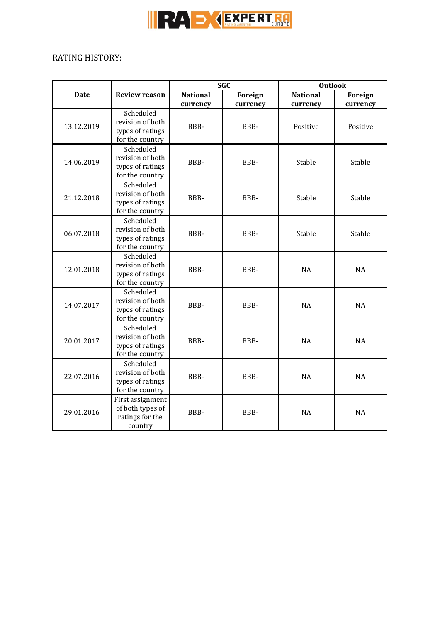

# RATING HISTORY:

| <b>Date</b> | <b>Review reason</b>                                                 | <b>SGC</b>                  |                     | <b>Outlook</b>              |                     |
|-------------|----------------------------------------------------------------------|-----------------------------|---------------------|-----------------------------|---------------------|
|             |                                                                      | <b>National</b><br>currency | Foreign<br>currency | <b>National</b><br>currency | Foreign<br>currency |
| 13.12.2019  | Scheduled<br>revision of both<br>types of ratings<br>for the country | BBB-                        | BBB-                | Positive                    | Positive            |
| 14.06.2019  | Scheduled<br>revision of both<br>types of ratings<br>for the country | BBB-                        | BBB-                | Stable                      | Stable              |
| 21.12.2018  | Scheduled<br>revision of both<br>types of ratings<br>for the country | BBB-                        | BBB-                | Stable                      | Stable              |
| 06.07.2018  | Scheduled<br>revision of both<br>types of ratings<br>for the country | BBB-                        | BBB-                | Stable                      | Stable              |
| 12.01.2018  | Scheduled<br>revision of both<br>types of ratings<br>for the country | BBB-                        | BBB-                | <b>NA</b>                   | <b>NA</b>           |
| 14.07.2017  | Scheduled<br>revision of both<br>types of ratings<br>for the country | BBB-                        | BBB-                | <b>NA</b>                   | <b>NA</b>           |
| 20.01.2017  | Scheduled<br>revision of both<br>types of ratings<br>for the country | BBB-                        | BBB-                | <b>NA</b>                   | <b>NA</b>           |
| 22.07.2016  | Scheduled<br>revision of both<br>types of ratings<br>for the country | BBB-                        | BBB-                | <b>NA</b>                   | <b>NA</b>           |
| 29.01.2016  | First assignment<br>of both types of<br>ratings for the<br>country   | BBB-                        | BBB-                | <b>NA</b>                   | <b>NA</b>           |